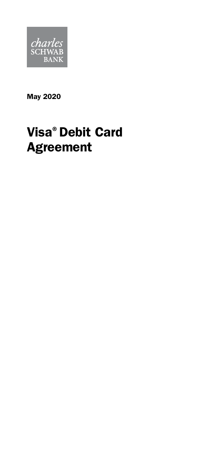

May 2020

# Visa® Debit Card Agreement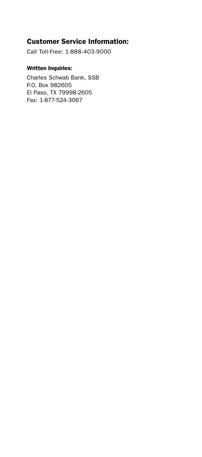## Customer Service Information:

Call Toll-Free: 1-888-403-9000

#### Written Inquiries:

Charles Schwab Bank, SSB P.O. Box 982605 El Paso, TX 79998-2605 Fax: 1-877-524-3067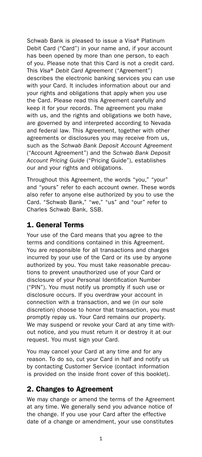Schwab Bank is pleased to issue a Visa® Platinum Debit Card ("Card") in your name and, if your account has been opened by more than one person, to each of you. Please note that this Card is not a credit card. This *Visa*® *Debit Card Agreement* ("Agreement") describes the electronic banking services you can use with your Card. It includes information about our and your rights and obligations that apply when you use the Card. Please read this Agreement carefully and keep it for your records. The agreement you make with us, and the rights and obligations we both have, are governed by and interpreted according to Nevada and federal law. This Agreement, together with other agreements or disclosures you may receive from us, such as the *Schwab Bank Deposit Account Agreement* ("Account Agreement") and the *Schwab Bank Deposit Account Pricing Guide* ("Pricing Guide"), establishes our and your rights and obligations.

Throughout this Agreement, the words "you," "your" and "yours" refer to each account owner. These words also refer to anyone else authorized by you to use the Card. "Schwab Bank," "we," "us" and "our" refer to Charles Schwab Bank, SSB.

## 1. General Terms

Your use of the Card means that you agree to the terms and conditions contained in this Agreement. You are responsible for all transactions and charges incurred by your use of the Card or its use by anyone authorized by you. You must take reasonable precautions to prevent unauthorized use of your Card or disclosure of your Personal Identification Number ("PIN"). You must notify us promptly if such use or disclosure occurs. If you overdraw your account in connection with a transaction, and we (in our sole discretion) choose to honor that transaction, you must promptly repay us. Your Card remains our property. We may suspend or revoke your Card at any time without notice, and you must return it or destroy it at our request. You must sign your Card.

You may cancel your Card at any time and for any reason. To do so, cut your Card in half and notify us by contacting Customer Service (contact information is provided on the inside front cover of this booklet).

## 2. Changes to Agreement

We may change or amend the terms of the Agreement at any time. We generally send you advance notice of the change. If you use your Card after the effective date of a change or amendment, your use constitutes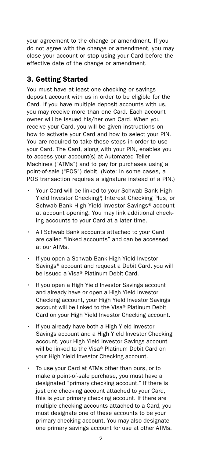your agreement to the change or amendment. If you do not agree with the change or amendment, you may close your account or stop using your Card before the effective date of the change or amendment.

# 3. Getting Started

You must have at least one checking or savings deposit account with us in order to be eligible for the Card. If you have multiple deposit accounts with us, you may receive more than one Card. Each account owner will be issued his/her own Card. When you receive your Card, you will be given instructions on how to activate your Card and how to select your PIN. You are required to take these steps in order to use your Card. The Card, along with your PIN, enables you to access your account(s) at Automated Teller Machines ("ATMs") and to pay for purchases using a point-of-sale ("POS") debit. (Note: In some cases, a POS transaction requires a signature instead of a PIN.)

- Your Card will be linked to your Schwab Bank High Yield Investor Checking®, Interest Checking Plus, or Schwab Bank High Yield Investor Savings® account at account opening. You may link additional checking accounts to your Card at a later time.
- All Schwab Bank accounts attached to your Card are called "linked accounts" and can be accessed at our ATMs.
- If you open a Schwab Bank High Yield Investor Savings® account and request a Debit Card, you will be issued a Visa® Platinum Debit Card.
- If you open a High Yield Investor Savings account and already have or open a High Yield Investor Checking account, your High Yield Investor Savings account will be linked to the Visa® Platinum Debit Card on your High Yield Investor Checking account.
- If you already have both a High Yield Investor Savings account and a High Yield Investor Checking account, your High Yield Investor Savings account will be linked to the Visa® Platinum Debit Card on your High Yield Investor Checking account.
- To use your Card at ATMs other than ours, or to make a point-of-sale purchase, you must have a designated "primary checking account." If there is just one checking account attached to your Card, this is your primary checking account. If there are multiple checking accounts attached to a Card, you must designate one of these accounts to be your primary checking account. You may also designate one primary savings account for use at other ATMs.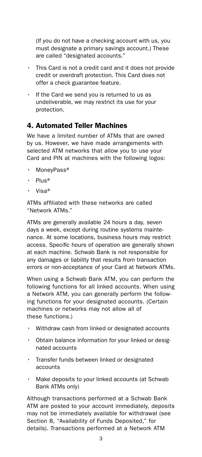(If you do not have a checking account with us, you must designate a primary savings account.) These are called "designated accounts."

- This Card is not a credit card and it does not provide credit or overdraft protection. This Card does not offer a check guarantee feature.
- If the Card we send you is returned to us as undeliverable, we may restrict its use for your protection.

# 4. Automated Teller Machines

We have a limited number of ATMs that are owned by us. However, we have made arrangements with selected ATM networks that allow you to use your Card and PIN at machines with the following logos:

- MoneyPass®
- Plus®
- Visa®

ATMs affiliated with these networks are called "Network ATMs."

ATMs are generally available 24 hours a day, seven days a week, except during routine systems maintenance. At some locations, business hours may restrict access. Specific hours of operation are generally shown at each machine. Schwab Bank is not responsible for any damages or liability that results from transaction errors or non-acceptance of your Card at Network ATMs.

When using a Schwab Bank ATM, you can perform the following functions for all linked accounts. When using a Network ATM, you can generally perform the following functions for your designated accounts. (Certain machines or networks may not allow all of these functions.)

- Withdraw cash from linked or designated accounts
- Obtain balance information for your linked or designated accounts
- Transfer funds between linked or designated accounts
- Make deposits to your linked accounts (at Schwab Bank ATMs only)

Although transactions performed at a Schwab Bank ATM are posted to your account immediately, deposits may not be immediately available for withdrawal (see Section 8, "Availability of Funds Deposited," for details). Transactions performed at a Network ATM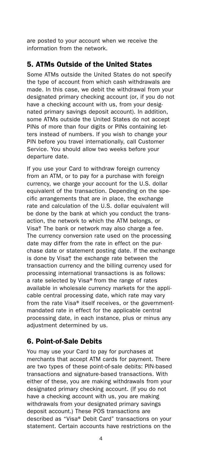are posted to your account when we receive the information from the network.

# 5. ATMs Outside of the United States

Some ATMs outside the United States do not specify the type of account from which cash withdrawals are made. In this case, we debit the withdrawal from your designated primary checking account (or, if you do not have a checking account with us, from your designated primary savings deposit account). In addition, some ATMs outside the United States do not accept PINs of more than four digits or PINs containing letters instead of numbers. If you wish to change your PIN before you travel internationally, call Customer Service. You should allow two weeks before your departure date.

If you use your Card to withdraw foreign currency from an ATM, or to pay for a purchase with foreign currency, we charge your account for the U.S. dollar equivalent of the transaction. Depending on the specific arrangements that are in place, the exchange rate and calculation of the U.S. dollar equivalent will be done by the bank at which you conduct the transaction, the network to which the ATM belongs, or Visa®. The bank or network may also charge a fee. The currency conversion rate used on the processing date may differ from the rate in effect on the purchase date or statement posting date. If the exchange is done by Visa®, the exchange rate between the transaction currency and the billing currency used for processing international transactions is as follows: a rate selected by Visa® from the range of rates available in wholesale currency markets for the applicable central processing date, which rate may vary from the rate Visa® itself receives, or the governmentmandated rate in effect for the applicable central processing date, in each instance, plus or minus any adjustment determined by us.

# 6. Point-of-Sale Debits

You may use your Card to pay for purchases at merchants that accept ATM cards for payment. There are two types of these point-of-sale debits: PIN-based transactions and signature-based transactions. With either of these, you are making withdrawals from your designated primary checking account. (If you do not have a checking account with us, you are making withdrawals from your designated primary savings deposit account.) These POS transactions are described as "Visa® Debit Card" transactions on your statement. Certain accounts have restrictions on the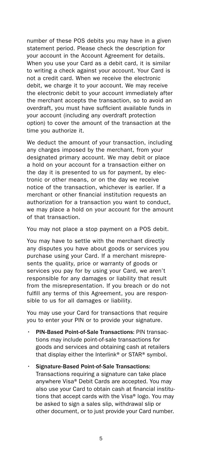number of these POS debits you may have in a given statement period. Please check the description for your account in the Account Agreement for details. When you use your Card as a debit card, it is similar to writing a check against your account. Your Card is not a credit card. When we receive the electronic debit, we charge it to your account. We may receive the electronic debit to your account immediately after the merchant accepts the transaction, so to avoid an overdraft, you must have sufficient available funds in your account (including any overdraft protection option) to cover the amount of the transaction at the time you authorize it.

We deduct the amount of your transaction, including any charges imposed by the merchant, from your designated primary account. We may debit or place a hold on your account for a transaction either on the day it is presented to us for payment, by electronic or other means, or on the day we receive notice of the transaction, whichever is earlier. If a merchant or other financial institution requests an authorization for a transaction you want to conduct, we may place a hold on your account for the amount of that transaction.

You may not place a stop payment on a POS debit.

You may have to settle with the merchant directly any disputes you have about goods or services you purchase using your Card. If a merchant misrepresents the quality, price or warranty of goods or services you pay for by using your Card, we aren't responsible for any damages or liability that result from the misrepresentation. If you breach or do not fulfill any terms of this Agreement, you are responsible to us for all damages or liability.

You may use your Card for transactions that require you to enter your PIN or to provide your signature.

- PIN-Based Point-of-Sale Transactions: PIN transactions may include point-of-sale transactions for goods and services and obtaining cash at retailers that display either the Interlink® or STAR® symbol.
- Signature-Based Point-of-Sale Transactions: Transactions requiring a signature can take place anywhere Visa® Debit Cards are accepted. You may also use your Card to obtain cash at financial institutions that accept cards with the Visa® logo. You may be asked to sign a sales slip, withdrawal slip or other document, or to just provide your Card number.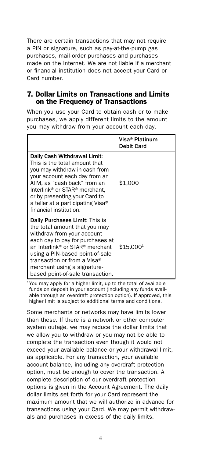There are certain transactions that may not require a PIN or signature, such as pay-at-the-pump gas purchases, mail-order purchases and purchases made on the Internet. We are not liable if a merchant or financial institution does not accept your Card or Card number.

#### 7. Dollar Limits on Transactions and Limits on the Frequency of Transactions

When you use your Card to obtain cash or to make purchases, we apply different limits to the amount you may withdraw from your account each day.

|                                                                                                                                                                                                                                                                                                                         | Visa® Platinum<br><b>Debit Card</b> |
|-------------------------------------------------------------------------------------------------------------------------------------------------------------------------------------------------------------------------------------------------------------------------------------------------------------------------|-------------------------------------|
| Daily Cash Withdrawal Limit:<br>This is the total amount that<br>you may withdraw in cash from<br>your account each day from an<br>ATM. as "cash back" from an<br>Interlink <sup>®</sup> or STAR <sup>®</sup> merchant.<br>or by presenting your Card to<br>a teller at a participating Visa®<br>financial institution. | \$1,000                             |
| Daily Purchases Limit: This is<br>the total amount that you may<br>withdraw from your account<br>each day to pay for purchases at<br>an Interlink® or STAR® merchant<br>using a PIN-based point-of-sale<br>transaction or from a Visa®<br>merchant using a signature-<br>based point-of-sale transaction.               | \$15,0001                           |

<sup>1</sup>You may apply for a higher limit, up to the total of available funds on deposit in your account (including any funds available through an overdraft protection option). If approved, this higher limit is subject to additional terms and conditions.

Some merchants or networks may have limits lower than these. If there is a network or other computer system outage, we may reduce the dollar limits that we allow you to withdraw or you may not be able to complete the transaction even though it would not exceed your available balance or your withdrawal limit, as applicable. For any transaction, your available account balance, including any overdraft protection option, must be enough to cover the transaction. A complete description of our overdraft protection options is given in the Account Agreement. The daily dollar limits set forth for your Card represent the maximum amount that we will authorize in advance for transactions using your Card. We may permit withdrawals and purchases in excess of the daily limits.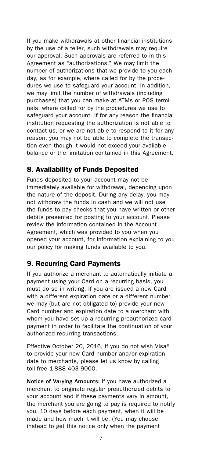If you make withdrawals at other financial institutions by the use of a teller, such withdrawals may require our approval. Such approvals are referred to in this Agreement as "authorizations." We may limit the number of authorizations that we provide to you each day, as for example, where called for by the procedures we use to safeguard your account. In addition, we may limit the number of withdrawals (including purchases) that you can make at ATMs or POS terminals, where called for by the procedures we use to safeguard your account. If for any reason the financial institution requesting the authorization is not able to contact us, or we are not able to respond to it for any reason, you may not be able to complete the transaction even though it would not exceed your available balance or the limitation contained in this Agreement.

# 8. Availability of Funds Deposited

Funds deposited to your account may not be immediately available for withdrawal, depending upon the nature of the deposit. During any delay, you may not withdraw the funds in cash and we will not use the funds to pay checks that you have written or other debits presented for posting to your account. Please review the information contained in the Account Agreement, which was provided to you when you opened your account, for information explaining to you our policy for making funds available to you.

## 9. Recurring Card Payments

If you authorize a merchant to automatically initiate a payment using your Card on a recurring basis, you must do so in writing. If you are issued a new Card with a different expiration date or a different number, we may (but are not obligated to) provide your new Card number and expiration date to a merchant with whom you have set up a recurring preauthorized card payment in order to facilitate the continuation of your authorized recurring transactions.

Effective October 20, 2016, if you do not wish Visa® to provide your new Card number and/or expiration date to merchants, please let us know by calling toll-free 1-888-403-9000.

Notice of Varying Amounts: If you have authorized a merchant to originate regular preauthorized debits to your account and if these payments vary in amount, the merchant you are going to pay is required to notify you, 10 days before each payment, when it will be made and how much it will be. (You may choose instead to get this notice only when the payment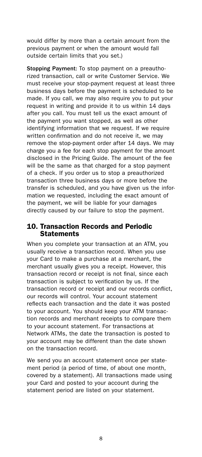would differ by more than a certain amount from the previous payment or when the amount would fall outside certain limits that you set.)

Stopping Payment: To stop payment on a preauthorized transaction, call or write Customer Service. We must receive your stop-payment request at least three business days before the payment is scheduled to be made. If you call, we may also require you to put your request in writing and provide it to us within 14 days after you call. You must tell us the exact amount of the payment you want stopped, as well as other identifying information that we request. If we require written confirmation and do not receive it, we may remove the stop-payment order after 14 days. We may charge you a fee for each stop payment for the amount disclosed in the Pricing Guide. The amount of the fee will be the same as that charged for a stop payment of a check. If you order us to stop a preauthorized transaction three business days or more before the transfer is scheduled, and you have given us the information we requested, including the exact amount of the payment, we will be liable for your damages directly caused by our failure to stop the payment.

#### 10. Transaction Records and Periodic **Statements**

When you complete your transaction at an ATM, you usually receive a transaction record. When you use your Card to make a purchase at a merchant, the merchant usually gives you a receipt. However, this transaction record or receipt is not final, since each transaction is subject to verification by us. If the transaction record or receipt and our records conflict, our records will control. Your account statement reflects each transaction and the date it was posted to your account. You should keep your ATM transaction records and merchant receipts to compare them to your account statement. For transactions at Network ATMs, the date the transaction is posted to your account may be different than the date shown on the transaction record.

We send you an account statement once per statement period (a period of time, of about one month, covered by a statement). All transactions made using your Card and posted to your account during the statement period are listed on your statement.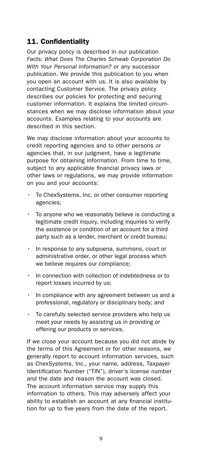# 11. Confidentiality

Our privacy policy is described in our publication *Facts: What Does The Charles Schwab Corporation Do With Your Personal Information?* or any successor publication. We provide this publication to you when you open an account with us. It is also available by contacting Customer Service. The privacy policy describes our policies for protecting and securing customer information. It explains the limited circumstances when we may disclose information about your accounts. Examples relating to your accounts are described in this section.

We may disclose information about your accounts to credit reporting agencies and to other persons or agencies that, in our judgment, have a legitimate purpose for obtaining information. From time to time, subject to any applicable financial privacy laws or other laws or regulations, we may provide information on you and your accounts:

- To ChexSystems, Inc. or other consumer reporting agencies;
- To anyone who we reasonably believe is conducting a legitimate credit inquiry, including inquiries to verify the existence or condition of an account for a third party such as a lender, merchant or credit bureau;
- In response to any subpoena, summons, court or administrative order, or other legal process which we believe requires our compliance;
- In connection with collection of indebtedness or to report losses incurred by us;
- In compliance with any agreement between us and a professional, regulatory or disciplinary body; and
- To carefully selected service providers who help us meet your needs by assisting us in providing or offering our products or services.

If we close your account because you did not abide by the terms of this Agreement or for other reasons, we generally report to account information services, such as ChexSystems, Inc., your name, address, Taxpayer Identification Number ("TIN"), driver's license number and the date and reason the account was closed. The account information service may supply this information to others. This may adversely affect your ability to establish an account at any financial institution for up to five years from the date of the report.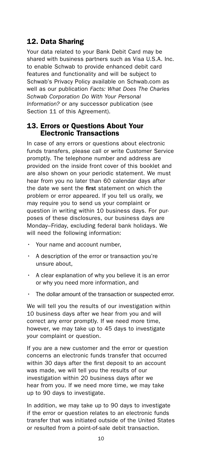# 12. Data Sharing

Your data related to your Bank Debit Card may be shared with business partners such as Visa U.S.A. Inc. to enable Schwab to provide enhanced debit card features and functionality and will be subject to Schwab's Privacy Policy available on [Schwab.com](https://Schwab.com) as well as our publication *Facts: What Does The Charles Schwab Corporation Do With Your Personal Information?* or any successor publication (see Section 11 of this Agreement).

#### 13. Errors or Questions About Your Electronic Transactions

In case of any errors or questions about electronic funds transfers, please call or write Customer Service promptly. The telephone number and address are provided on the inside front cover of this booklet and are also shown on your periodic statement. We must hear from you no later than 60 calendar days after the date we sent the first statement on which the problem or error appeared. If you tell us orally, we may require you to send us your complaint or question in writing within 10 business days. For purposes of these disclosures, our business days are Monday–Friday, excluding federal bank holidays. We will need the following information:

- Your name and account number,
- A description of the error or transaction you're unsure about,
- A clear explanation of why you believe it is an error or why you need more information, and
- The dollar amount of the transaction or suspected error.

We will tell you the results of our investigation within 10 business days after we hear from you and will correct any error promptly. If we need more time, however, we may take up to 45 days to investigate your complaint or question.

If you are a new customer and the error or question concerns an electronic funds transfer that occurred within 30 days after the first deposit to an account was made, we will tell you the results of our investigation within 20 business days after we hear from you. If we need more time, we may take up to 90 days to investigate.

In addition, we may take up to 90 days to investigate if the error or question relates to an electronic funds transfer that was initiated outside of the United States or resulted from a point-of-sale debit transaction.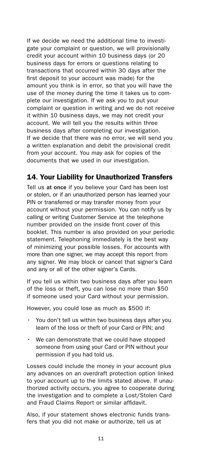If we decide we need the additional time to investigate your complaint or question, we will provisionally credit your account within 10 business days (or 20 business days for errors or questions relating to transactions that occurred within 30 days after the first deposit to your account was made) for the amount you think is in error, so that you will have the use of the money during the time it takes us to complete our investigation. If we ask you to put your complaint or question in writing and we do not receive it within 10 business days, we may not credit your account. We will tell you the results within three business days after completing our investigation. If we decide that there was no error, we will send you a written explanation and debit the provisional credit from your account. You may ask for copies of the documents that we used in our investigation.

# 14. Your Liability for Unauthorized Transfers

Tell us at once if you believe your Card has been lost or stolen, or if an unauthorized person has learned your PIN or transferred or may transfer money from your account without your permission. You can notify us by calling or writing Customer Service at the telephone number provided on the inside front cover of this booklet. This number is also provided on your periodic statement. Telephoning immediately is the best way of minimizing your possible losses. For accounts with more than one signer, we may accept this report from any signer. We may block or cancel that signer's Card and any or all of the other signer's Cards.

If you tell us within two business days after you learn of the loss or theft, you can lose no more than \$50 if someone used your Card without your permission.

However, you could lose as much as \$500 if:

- You don't tell us within two business days after you learn of the loss or theft of your Card or PIN; and
- We can demonstrate that we could have stopped someone from using your Card or PIN without your permission if you had told us.

Losses could include the money in your account plus any advances on an overdraft protection option linked to your account up to the limits stated above. If unauthorized activity occurs, you agree to cooperate during the investigation and to complete a Lost/Stolen Card and Fraud Claims Report or similar affidavit.

Also, if your statement shows electronic funds transfers that you did not make or authorize, tell us at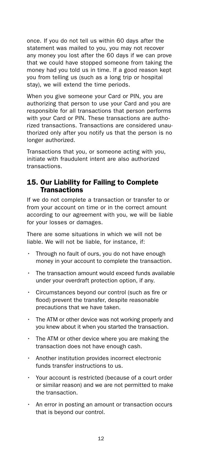once. If you do not tell us within 60 days after the statement was mailed to you, you may not recover any money you lost after the 60 days if we can prove that we could have stopped someone from taking the money had you told us in time. If a good reason kept you from telling us (such as a long trip or hospital stay), we will extend the time periods.

When you give someone your Card or PIN, you are authorizing that person to use your Card and you are responsible for all transactions that person performs with your Card or PIN. These transactions are authorized transactions. Transactions are considered unauthorized only after you notify us that the person is no longer authorized.

Transactions that you, or someone acting with you, initiate with fraudulent intent are also authorized transactions.

#### 15. Our Liability for Failing to Complete **Transactions**

If we do not complete a transaction or transfer to or from your account on time or in the correct amount according to our agreement with you, we will be liable for your losses or damages.

There are some situations in which we will not be liable. We will not be liable, for instance, if:

- Through no fault of ours, you do not have enough money in your account to complete the transaction.
- The transaction amount would exceed funds available under your overdraft protection option, if any.
- Circumstances beyond our control (such as fire or flood) prevent the transfer, despite reasonable precautions that we have taken.
- The ATM or other device was not working properly and you knew about it when you started the transaction.
- The ATM or other device where you are making the transaction does not have enough cash.
- Another institution provides incorrect electronic funds transfer instructions to us.
- Your account is restricted (because of a court order or similar reason) and we are not permitted to make the transaction.
- An error in posting an amount or transaction occurs that is beyond our control.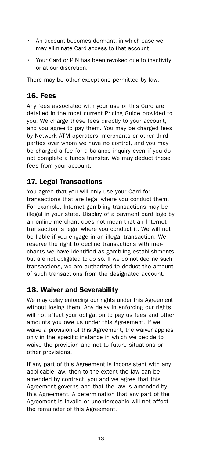- An account becomes dormant, in which case we may eliminate Card access to that account.
- Your Card or PIN has been revoked due to inactivity or at our discretion.

There may be other exceptions permitted by law.

# 16. Fees

Any fees associated with your use of this Card are detailed in the most current Pricing Guide provided to you. We charge these fees directly to your account, and you agree to pay them. You may be charged fees by Network ATM operators, merchants or other third parties over whom we have no control, and you may be charged a fee for a balance inquiry even if you do not complete a funds transfer. We may deduct these fees from your account.

# 17. Legal Transactions

You agree that you will only use your Card for transactions that are legal where you conduct them. For example, Internet gambling transactions may be illegal in your state. Display of a payment card logo by an online merchant does not mean that an Internet transaction is legal where you conduct it. We will not be liable if you engage in an illegal transaction. We reserve the right to decline transactions with merchants we have identified as gambling establishments but are not obligated to do so. If we do not decline such transactions, we are authorized to deduct the amount of such transactions from the designated account.

## 18. Waiver and Severability

We may delay enforcing our rights under this Agreement without losing them. Any delay in enforcing our rights will not affect your obligation to pay us fees and other amounts you owe us under this Agreement. If we waive a provision of this Agreement, the waiver applies only in the specific instance in which we decide to waive the provision and not to future situations or other provisions.

If any part of this Agreement is inconsistent with any applicable law, then to the extent the law can be amended by contract, you and we agree that this Agreement governs and that the law is amended by this Agreement. A determination that any part of the Agreement is invalid or unenforceable will not affect the remainder of this Agreement.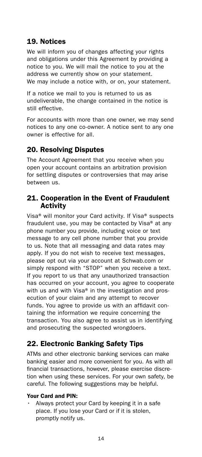# 19. Notices

We will inform you of changes affecting your rights and obligations under this Agreement by providing a notice to you. We will mail the notice to you at the address we currently show on your statement. We may include a notice with, or on, your statement.

If a notice we mail to you is returned to us as undeliverable, the change contained in the notice is still effective.

For accounts with more than one owner, we may send notices to any one co-owner. A notice sent to any one owner is effective for all.

# 20. Resolving Disputes

The Account Agreement that you receive when you open your account contains an arbitration provision for settling disputes or controversies that may arise between us.

## 21. Cooperation in the Event of Fraudulent Activity

Visa® will monitor your Card activity. If Visa® suspects fraudulent use, you may be contacted by Visa® at any phone number you provide, including voice or text message to any cell phone number that you provide to us. Note that all messaging and data rates may apply. If you do not wish to receive text messages, please opt out via your account at [Schwab.com](https://Schwab.com) or simply respond with "STOP" when you receive a text. If you report to us that any unauthorized transaction has occurred on your account, you agree to cooperate with us and with Visa® in the investigation and prosecution of your claim and any attempt to recover funds. You agree to provide us with an affidavit containing the information we require concerning the transaction. You also agree to assist us in identifying and prosecuting the suspected wrongdoers.

# 22. Electronic Banking Safety Tips

ATMs and other electronic banking services can make banking easier and more convenient for you. As with all financial transactions, however, please exercise discretion when using these services. For your own safety, be careful. The following suggestions may be helpful.

#### Your Card and PIN:

• Always protect your Card by keeping it in a safe place. If you lose your Card or if it is stolen, promptly notify us.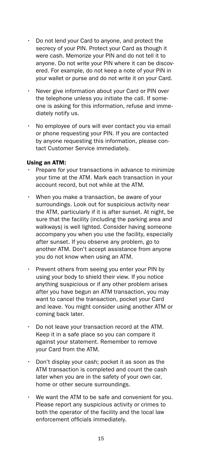- Do not lend your Card to anyone, and protect the secrecy of your PIN. Protect your Card as though it were cash. Memorize your PIN and do not tell it to anyone. Do not write your PIN where it can be discovered. For example, do not keep a note of your PIN in your wallet or purse and do not write it on your Card.
- Never give information about your Card or PIN over the telephone unless you initiate the call. If someone is asking for this information, refuse and immediately notify us.
- No employee of ours will ever contact you via email or phone requesting your PIN. If you are contacted by anyone requesting this information, please contact Customer Service immediately.

#### Using an ATM:

- Prepare for your transactions in advance to minimize your time at the ATM. Mark each transaction in your account record, but not while at the ATM.
- When you make a transaction, be aware of your surroundings. Look out for suspicious activity near the ATM, particularly if it is after sunset. At night, be sure that the facility (including the parking area and walkways) is well lighted. Consider having someone accompany you when you use the facility, especially after sunset. If you observe any problem, go to another ATM. Don't accept assistance from anyone you do not know when using an ATM.
- Prevent others from seeing you enter your PIN by using your body to shield their view. If you notice anything suspicious or if any other problem arises after you have begun an ATM transaction, you may want to cancel the transaction, pocket your Card and leave. You might consider using another ATM or coming back later.
- Do not leave your transaction record at the ATM. Keep it in a safe place so you can compare it against your statement. Remember to remove your Card from the ATM.
- Don't display your cash; pocket it as soon as the ATM transaction is completed and count the cash later when you are in the safety of your own car, home or other secure surroundings.
- We want the ATM to be safe and convenient for you. Please report any suspicious activity or crimes to both the operator of the facility and the local law enforcement officials immediately.